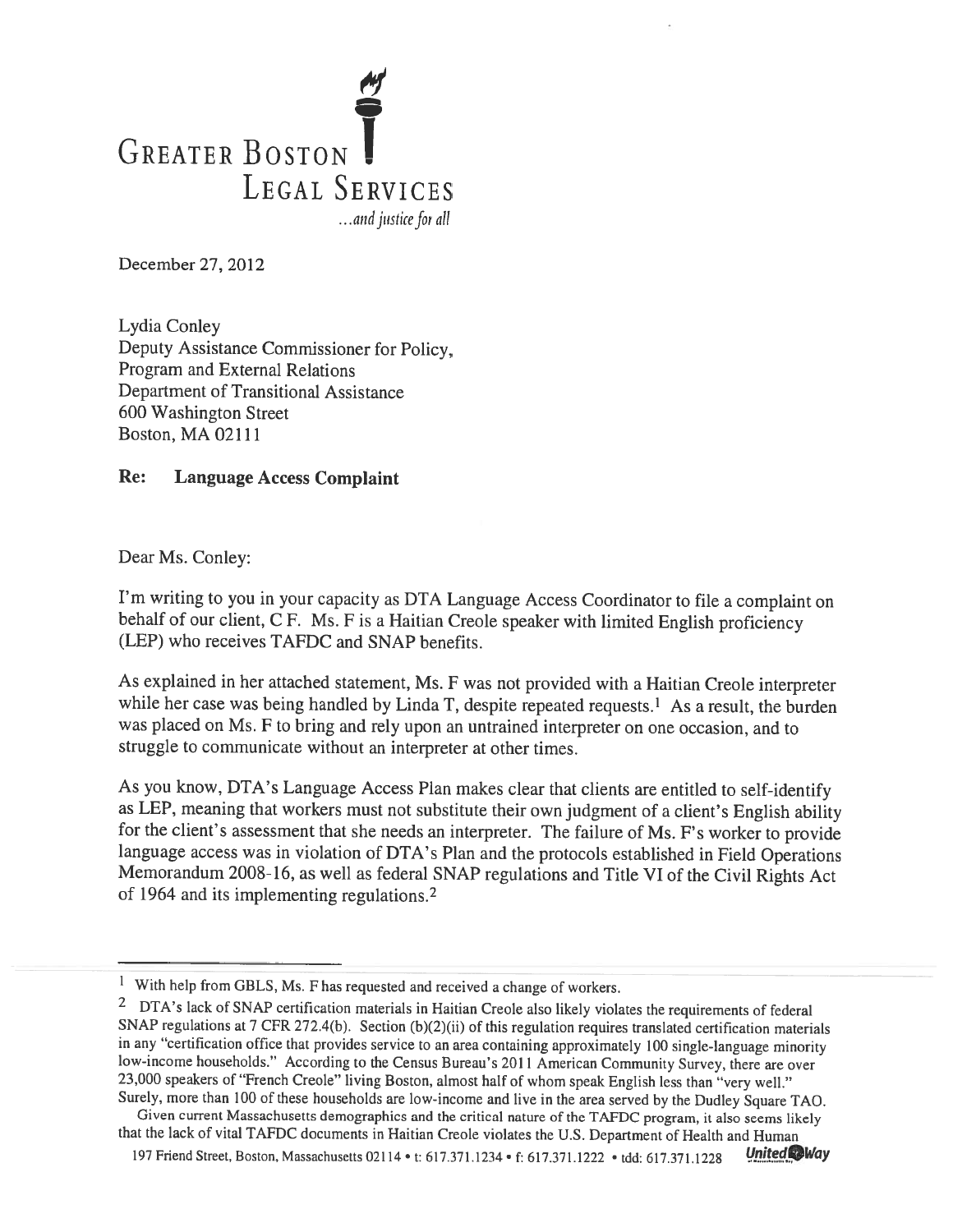

December 27, 2012

Lydia Conley Deputy Assistance Commissioner for Policy, Program and External Relations Department of Transitional Assistance 600 Washington Street Boston, MA 02111

## Re: Language Access Complaint

Dear Ms. Conley:

I'm writing to you in your capacity as DTA Language Access Coordinator to file <sup>a</sup> complaint on behalf of our client, C F. Ms. F is a Haitian Creole speaker with limited English proficiency (LEP) who receives TAFDC and SNAP benefits.

As explained in her attached statement, Ms. <sup>F</sup> was not provided with <sup>a</sup> Haitian Creole interpreter while her case was being handled by Linda T, despite repeated requests.<sup>1</sup> As a result, the burden was <sup>p</sup>laced on Ms. <sup>F</sup> to bring and rely upon an untrained interpreter on one occasion, and to struggle to communicate without an interpreter at other times.

As you know, DTA's Language Access Plan makes clear that clients are entitled to self-identify as LEP, meaning that workers must not substitute their own judgment of <sup>a</sup> client's English ability for the client's assessment that she needs an interpreter. The failure of Ms. F's worker to provide language access was in violation of DTA's Plan and the protocols established in Field Operations Memorandum 2008-16, as well as federal SNAP regulations and Title VI of the Civil Rights Act of 1964 and its implementing regulations. 2

Given current Massachusetts demographics and the critical nature of the TAFDC program, it also seems likely that the lack of vital TAFDC documents in Haitian Creole violates the U.S. Department of Health and Human

197 Friend Street, Boston, Massachusetts 02114 • t: 617.371.1234 • f: 617.371.1222 • tdd: 617.371.1228 United

 $1$  With help from GBLS, Ms. F has requested and received a change of workers.

<sup>2</sup> DTA's lack of SNAP certification materials in Haitian Creole also likely violates the requirements of federal SNAP regulations at <sup>7</sup> CFR 272.4(b). Section (b)(2)(ii) of this regulation requires translated certification materials in any "certification office that provides service to an area containing approximately <sup>100</sup> single-language minority low-income households." According to the Census Bureau's <sup>2011</sup> American Community Survey, there are over 23,000 speakers of "French Creole" living Boston, almost half of whom spea<sup>k</sup> English less than "very well." Surely, more than <sup>100</sup> of these households are low-income and live in the area served by the Dudley Square TAO.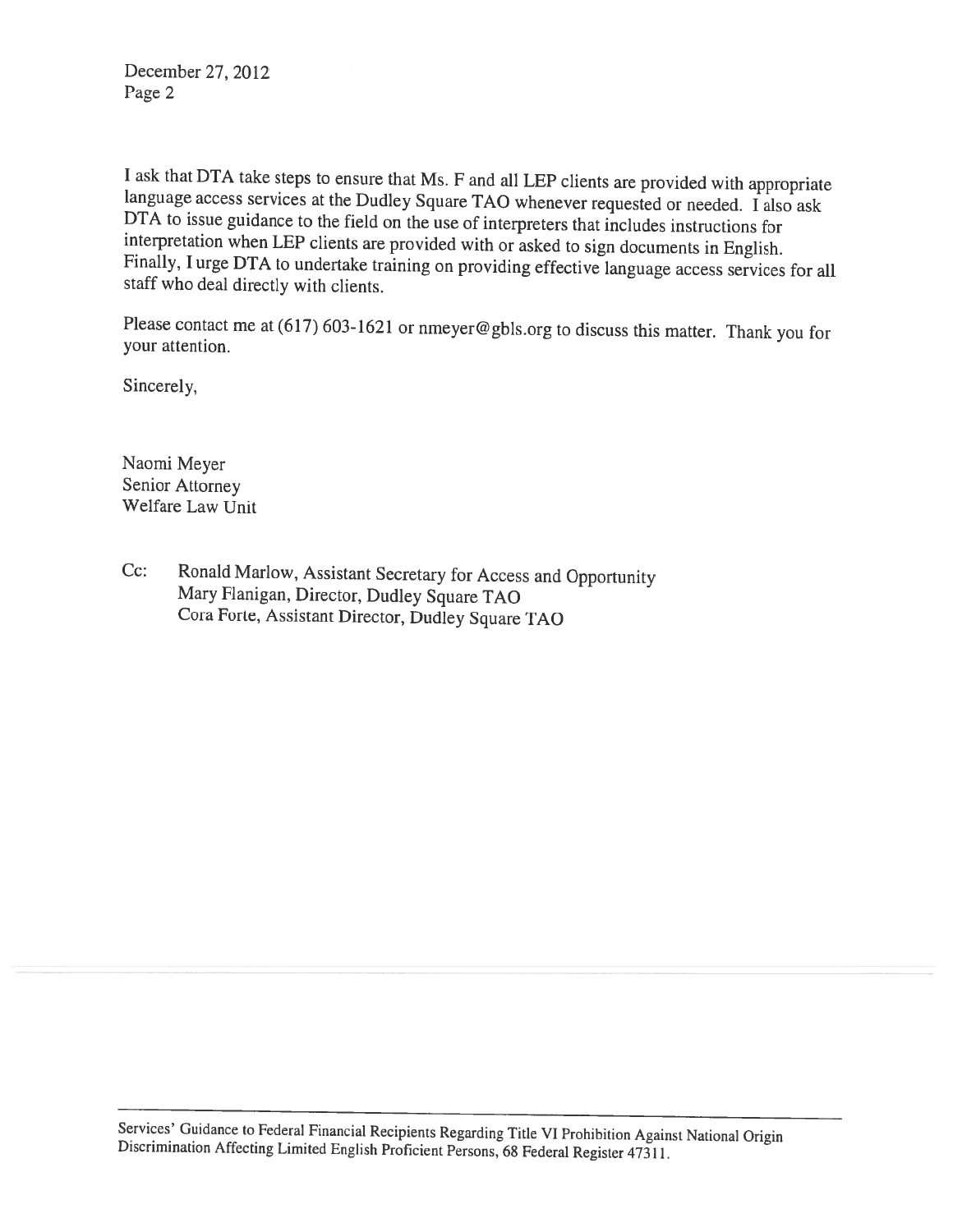December 27, 2012 Page 2

I ask that DTA take steps to ensure that Ms. F and all LEP clients are provided with appropriate language access services at the Dudley Square TAO whenever requested or needed. I also ask DTA to issue guidance to the field

Please contact me at (617) 603-1621 or nmeyer@gbls.org to discuss this matter. Thank you for your attention.

Sincerely,

Naomi Meyer Senior Attorney Welfare Law Unit

Cc: Ronald Marlow, Assistant Secretary for Access and Opportunity Mary Flanigan, Director, Dudley Square TAO Cora Forte, Assistant Director, Dudley Square TAO